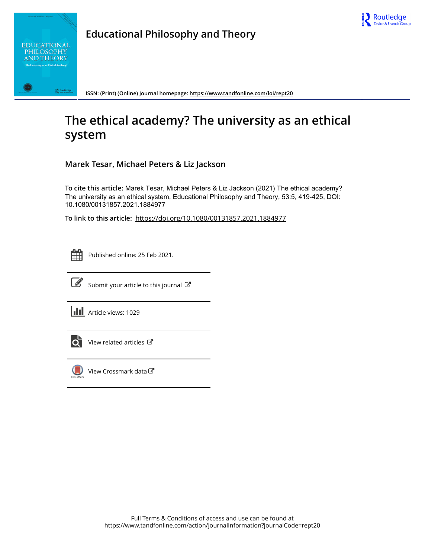



**Educational Philosophy and Theory**

**ISSN: (Print) (Online) Journal homepage:<https://www.tandfonline.com/loi/rept20>**

# **The ethical academy? The university as an ethical system**

**Marek Tesar, Michael Peters & Liz Jackson**

**To cite this article:** Marek Tesar, Michael Peters & Liz Jackson (2021) The ethical academy? The university as an ethical system, Educational Philosophy and Theory, 53:5, 419-425, DOI: [10.1080/00131857.2021.1884977](https://www.tandfonline.com/action/showCitFormats?doi=10.1080/00131857.2021.1884977)

**To link to this article:** <https://doi.org/10.1080/00131857.2021.1884977>



Published online: 25 Feb 2021.



 $\overrightarrow{S}$  [Submit your article to this journal](https://www.tandfonline.com/action/authorSubmission?journalCode=rept20&show=instructions)  $\overrightarrow{S}$ 

**III** Article views: 1029



[View related articles](https://www.tandfonline.com/doi/mlt/10.1080/00131857.2021.1884977)  $\mathbb{Z}$ 



[View Crossmark data](http://crossmark.crossref.org/dialog/?doi=10.1080/00131857.2021.1884977&domain=pdf&date_stamp=2021-02-25)<sup>で</sup>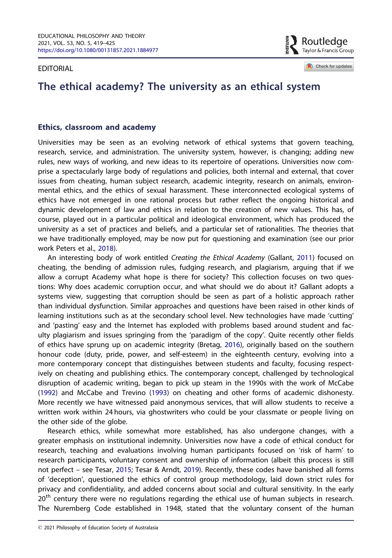<span id="page-1-0"></span>EDITORIAL

Routledae Taylor & Francis Group

Check for updates

# The ethical academy? The university as an ethical system

### Ethics, classroom and academy

Universities may be seen as an evolving network of ethical systems that govern teaching, research, service, and administration. The university system, however, is changing; adding new rules, new ways of working, and new ideas to its repertoire of operations. Universities now comprise a spectacularly large body of regulations and policies, both internal and external, that cover issues from cheating, human subject research, academic integrity, research on animals, environmental ethics, and the ethics of sexual harassment. These interconnected ecological systems of ethics have not emerged in one rational process but rather reflect the ongoing historical and dynamic development of law and ethics in relation to the creation of new values. This has, of course, played out in a particular political and ideological environment, which has produced the university as a set of practices and beliefs, and a particular set of rationalities. The theories that we have traditionally employed, may be now put for questioning and examination (see our prior work Peters et al., [2018\)](#page-7-0).

An interesting body of work entitled Creating the Ethical Academy (Gallant, [2011](#page-6-0)) focused on cheating, the bending of admission rules, fudging research, and plagiarism, arguing that if we allow a corrupt Academy what hope is there for society? This collection focuses on two questions: Why does academic corruption occur, and what should we do about it? Gallant adopts a systems view, suggesting that corruption should be seen as part of a holistic approach rather than individual dysfunction. Similar approaches and questions have been raised in other kinds of learning institutions such as at the secondary school level. New technologies have made 'cutting' and 'pasting' easy and the Internet has exploded with problems based around student and faculty plagiarism and issues springing from the 'paradigm of the copy'. Quite recently other fields of ethics have sprung up on academic integrity (Bretag, [2016](#page-6-0)), originally based on the southern honour code (duty, pride, power, and self-esteem) in the eighteenth century, evolving into a more contemporary concept that distinguishes between students and faculty, focusing respectively on cheating and publishing ethics. The contemporary concept, challenged by technological disruption of academic writing, began to pick up steam in the 1990s with the work of McCabe ([1992](#page-7-0)) and McCabe and Trevino ([1993](#page-7-0)) on cheating and other forms of academic dishonesty. More recently we have witnessed paid anonymous services, that will allow students to receive a written work within 24 hours, via ghostwriters who could be your classmate or people living on the other side of the globe.

Research ethics, while somewhat more established, has also undergone changes, with a greater emphasis on institutional indemnity. Universities now have a code of ethical conduct for research, teaching and evaluations involving human participants focused on 'risk of harm' to research participants, voluntary consent and ownership of information (albeit this process is still not perfect – see Tesar, [2015](#page-7-0); Tesar & Arndt, [2019\)](#page-7-0). Recently, these codes have banished all forms of 'deception', questioned the ethics of control group methodology, laid down strict rules for privacy and confidentiality, and added concerns about social and cultural sensitivity. In the early 20<sup>th</sup> century there were no regulations regarding the ethical use of human subjects in research. The Nuremberg Code established in 1948, stated that the voluntary consent of the human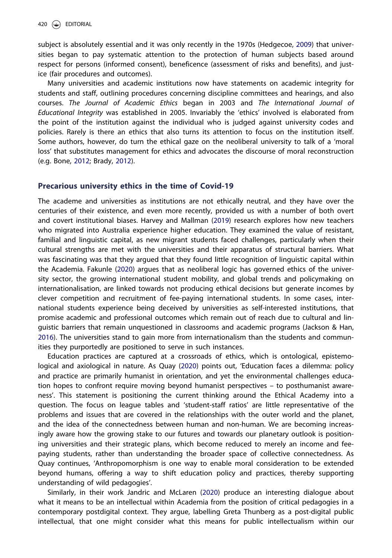<span id="page-2-0"></span>subject is absolutely essential and it was only recently in the 1970s (Hedgecoe, [2009](#page-7-0)) that universities began to pay systematic attention to the protection of human subjects based around respect for persons (informed consent), beneficence (assessment of risks and benefits), and justice (fair procedures and outcomes).

Many universities and academic institutions now have statements on academic integrity for students and staff, outlining procedures concerning discipline committees and hearings, and also courses. The Journal of Academic Ethics began in 2003 and The International Journal of Educational Integrity was established in 2005. Invariably the 'ethics' involved is elaborated from the point of the institution against the individual who is judged against university codes and policies. Rarely is there an ethics that also turns its attention to focus on the institution itself. Some authors, however, do turn the ethical gaze on the neoliberal university to talk of a 'moral loss' that substitutes management for ethics and advocates the discourse of moral reconstruction (e.g. Bone, [2012;](#page-6-0) Brady, [2012](#page-6-0)).

#### Precarious university ethics in the time of Covid-19

The academe and universities as institutions are not ethically neutral, and they have over the centuries of their existence, and even more recently, provided us with a number of both overt and covert institutional biases. Harvey and Mallman ([2019](#page-6-0)) research explores how new teachers who migrated into Australia experience higher education. They examined the value of resistant, familial and linguistic capital, as new migrant students faced challenges, particularly when their cultural strengths are met with the universities and their apparatus of structural barriers. What was fascinating was that they argued that they found little recognition of linguistic capital within the Academia. Fakunle [\(2020\)](#page-6-0) argues that as neoliberal logic has governed ethics of the university sector, the growing international student mobility, and global trends and policymaking on internationalisation, are linked towards not producing ethical decisions but generate incomes by clever competition and recruitment of fee-paying international students. In some cases, international students experience being deceived by universities as self-interested institutions, that promise academic and professional outcomes which remain out of reach due to cultural and linguistic barriers that remain unquestioned in classrooms and academic programs (Jackson & Han, [2016](#page-7-0)). The universities stand to gain more from internationalism than the students and communities they purportedly are positioned to serve in such instances.

Education practices are captured at a crossroads of ethics, which is ontological, epistemological and axiological in nature. As Quay ([2020](#page-7-0)) points out, 'Education faces a dilemma: policy and practice are primarily humanist in orientation, and yet the environmental challenges education hopes to confront require moving beyond humanist perspectives – to posthumanist awareness'. This statement is positioning the current thinking around the Ethical Academy into a question. The focus on league tables and 'student-staff ratios' are little representative of the problems and issues that are covered in the relationships with the outer world and the planet, and the idea of the connectedness between human and non-human. We are becoming increasingly aware how the growing stake to our futures and towards our planetary outlook is positioning universities and their strategic plans, which become reduced to merely an income and feepaying students, rather than understanding the broader space of collective connectedness. As Quay continues, 'Anthropomorphism is one way to enable moral consideration to be extended beyond humans, offering a way to shift education policy and practices, thereby supporting understanding of wild pedagogies'.

Similarly, in their work Jandric and McLaren ([2020](#page-7-0)) produce an interesting dialogue about what it means to be an intellectual within Academia from the position of critical pedagogies in a contemporary postdigital context. They argue, labelling Greta Thunberg as a post-digital public intellectual, that one might consider what this means for public intellectualism within our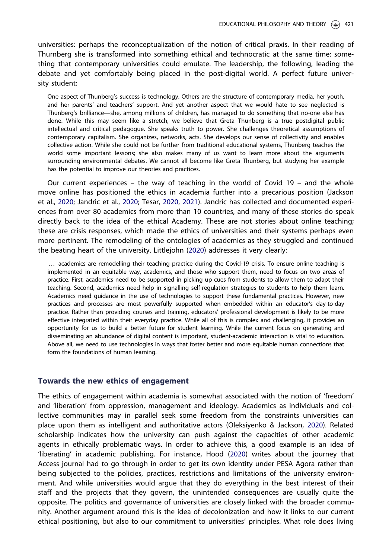<span id="page-3-0"></span>universities: perhaps the reconceptualization of the notion of critical praxis. In their reading of Thurnberg she is transformed into something ethical and technocratic at the same time: something that contemporary universities could emulate. The leadership, the following, leading the debate and yet comfortably being placed in the post-digital world. A perfect future university student:

One aspect of Thunberg's success is technology. Others are the structure of contemporary media, her youth, and her parents' and teachers' support. And yet another aspect that we would hate to see neglected is Thunberg's brilliance—she, among millions of children, has managed to do something that no-one else has done. While this may seem like a stretch, we believe that Greta Thunberg is a true postdigital public intellectual and critical pedagogue. She speaks truth to power. She challenges theoretical assumptions of contemporary capitalism. She organizes, networks, acts. She develops our sense of collectivity and enables collective action. While she could not be further from traditional educational systems, Thunberg teaches the world some important lessons; she also makes many of us want to learn more about the arguments surrounding environmental debates. We cannot all become like Greta Thunberg, but studying her example has the potential to improve our theories and practices.

Our current experiences – the way of teaching in the world of Covid 19 – and the whole move online has positioned the ethics in academia further into a precarious position (Jackson et al., [2020](#page-7-0); Jandric et al., [2020;](#page-7-0) Tesar, [2020,](#page-7-0) [2021](#page-7-0)). Jandric has collected and documented experiences from over 80 academics from more than 10 countries, and many of these stories do speak directly back to the idea of the ethical Academy. These are not stories about online teaching; these are crisis responses, which made the ethics of universities and their systems perhaps even more pertinent. The remodeling of the ontologies of academics as they struggled and continued the beating heart of the university. Littlejohn [\(2020\)](#page-7-0) addresses it very clearly:

… academics are remodelling their teaching practice during the Covid-19 crisis. To ensure online teaching is implemented in an equitable way, academics, and those who support them, need to focus on two areas of practice. First, academics need to be supported in picking up cues from students to allow them to adapt their teaching. Second, academics need help in signalling self-regulation strategies to students to help them learn. Academics need guidance in the use of technologies to support these fundamental practices. However, new practices and processes are most powerfully supported when embedded within an educator's day-to-day practice. Rather than providing courses and training, educators' professional development is likely to be more effective integrated within their everyday practice. While all of this is complex and challenging, it provides an opportunity for us to build a better future for student learning. While the current focus on generating and disseminating an abundance of digital content is important, student-academic interaction is vital to education. Above all, we need to use technologies in ways that foster better and more equitable human connections that form the foundations of human learning.

#### Towards the new ethics of engagement

The ethics of engagement within academia is somewhat associated with the notion of 'freedom' and 'liberation' from oppression, management and ideology. Academics as individuals and collective communities may in parallel seek some freedom from the constraints universities can place upon them as intelligent and authoritative actors (Oleksiyenko & Jackson, [2020\)](#page-7-0). Related scholarship indicates how the university can push against the capacities of other academic agents in ethically problematic ways. In order to achieve this, a good example is an idea of 'liberating' in academic publishing. For instance, Hood ([2020](#page-7-0)) writes about the journey that Access journal had to go through in order to get its own identity under PESA Agora rather than being subjected to the policies, practices, restrictions and limitations of the university environment. And while universities would argue that they do everything in the best interest of their staff and the projects that they govern, the unintended consequences are usually quite the opposite. The politics and governance of universities are closely linked with the broader community. Another argument around this is the idea of decolonization and how it links to our current ethical positioning, but also to our commitment to universities' principles. What role does living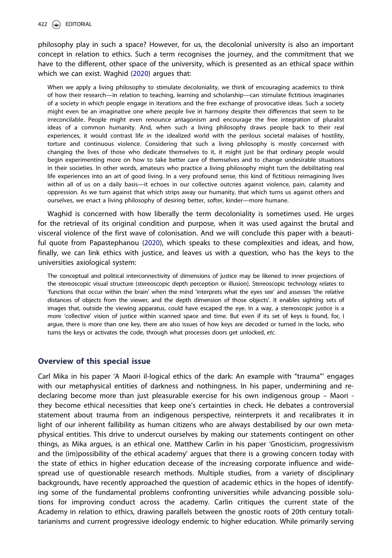#### <span id="page-4-0"></span>422 (See EDITORIAL

philosophy play in such a space? However, for us, the decolonial university is also an important concept in relation to ethics. Such a term recognises the journey, and the commitment that we have to the different, other space of the university, which is presented as an ethical space within which we can exist. Waghid [\(2020\)](#page-7-0) argues that:

When we apply a living philosophy to stimulate decoloniality, we think of encouraging academics to think of how their research—in relation to teaching, learning and scholarship—can stimulate fictitious imaginaries of a society in which people engage in iterations and the free exchange of provocative ideas. Such a society might even be an imaginative one where people live in harmony despite their differences that seem to be irreconcilable. People might even renounce antagonism and encourage the free integration of pluralist ideas of a common humanity. And, when such a living philosophy draws people back to their real experiences, it would contrast life in the idealized world with the perilous societal malaises of hostility, torture and continuous violence. Considering that such a living philosophy is mostly concerned with changing the lives of those who dedicate themselves to it, it might just be that ordinary people would begin experimenting more on how to take better care of themselves and to change undesirable situations in their societies. In other words, amateurs who practice a living philosophy might turn the debilitating real life experiences into an art of good living. In a very profound sense, this kind of fictitious reimagining lives within all of us on a daily basis—it echoes in our collective outcries against violence, pain, calamity and oppression. As we turn against that which strips away our humanity, that which turns us against others and ourselves, we enact a living philosophy of desiring better, softer, kinder—more humane.

Waghid is concerned with how liberally the term decoloniality is sometimes used. He urges for the retrieval of its original condition and purpose, when it was used against the brutal and visceral violence of the first wave of colonisation. And we will conclude this paper with a beautiful quote from Papastephanou ([2020](#page-7-0)), which speaks to these complexities and ideas, and how, finally, we can link ethics with justice, and leaves us with a question, who has the keys to the universities axiological system:

The conceptual and political interconnectivity of dimensions of justice may be likened to inner projections of the stereoscopic visual structure (stereoscopic depth perception or illusion). Stereoscopic technology relates to 'functions that occur within the brain' when the mind 'interprets what the eyes see' and assesses 'the relative distances of objects from the viewer, and the depth dimension of those objects'. It enables sighting sets of images that, outside the viewing apparatus, could have escaped the eye. In a way, a stereoscopic justice is a more 'collective' vision of justice within scanned space and time. But even if its set of keys is found, for, I argue, there is more than one key, there are also issues of how keys are decoded or turned in the locks, who turns the keys or activates the code, through what processes doors get unlocked, etc.

## Overview of this special issue

Carl Mika in his paper 'A Maori il-logical ethics of the dark: An example with "trauma"' engages with our metaphysical entities of darkness and nothingness. In his paper, undermining and redeclaring become more than just pleasurable exercise for his own indigenous group – Maori they become ethical necessities that keep one's certainties in check. He debates a controversial statement about trauma from an indigenous perspective, reinterprets it and recalibrates it in light of our inherent fallibility as human citizens who are always destabilised by our own metaphysical entities. This drive to undercut ourselves by making our statements contingent on other things, as Mika argues, is an ethical one. Matthew Carlin in his paper 'Gnosticism, progressivism and the (im)possibility of the ethical academy' argues that there is a growing concern today with the state of ethics in higher education decease of the increasing corporate influence and widespread use of questionable research methods. Multiple studies, from a variety of disciplinary backgrounds, have recently approached the question of academic ethics in the hopes of identifying some of the fundamental problems confronting universities while advancing possible solutions for improving conduct across the academy. Carlin critiques the current state of the Academy in relation to ethics, drawing parallels between the gnostic roots of 20th century totalitarianisms and current progressive ideology endemic to higher education. While primarily serving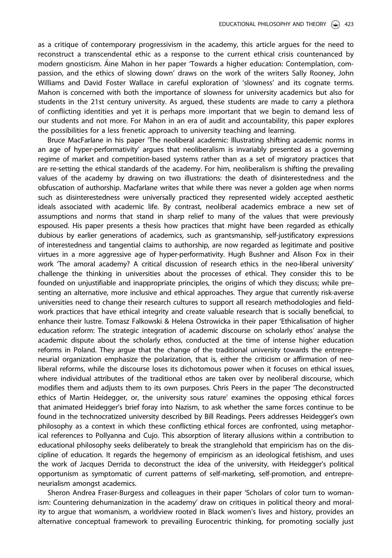as a critique of contemporary progressivism in the academy, this article argues for the need to reconstruct a transcendental ethic as a response to the current ethical crisis countenanced by modern gnosticism. Aine Mahon in her paper 'Towards a higher education: Contemplation, compassion, and the ethics of slowing down' draws on the work of the writers Sally Rooney, John Williams and David Foster Wallace in careful exploration of 'slowness' and its cognate terms. Mahon is concerned with both the importance of slowness for university academics but also for students in the 21st century university. As argued, these students are made to carry a plethora of conflicting identities and yet it is perhaps more important that we begin to demand less of our students and not more. For Mahon in an era of audit and accountability, this paper explores the possibilities for a less frenetic approach to university teaching and learning.

Bruce MacFarlane in his paper 'The neoliberal academic: Illustrating shifting academic norms in an age of hyper-performativity' argues that neoliberalism is invariably presented as a governing regime of market and competition-based systems rather than as a set of migratory practices that are re-setting the ethical standards of the academy. For him, neoliberalism is shifting the prevailing values of the academy by drawing on two illustrations: the death of disinterestedness and the obfuscation of authorship. Macfarlane writes that while there was never a golden age when norms such as disinterestedness were universally practiced they represented widely accepted aesthetic ideals associated with academic life. By contrast, neoliberal academics embrace a new set of assumptions and norms that stand in sharp relief to many of the values that were previously espoused. His paper presents a thesis how practices that might have been regarded as ethically dubious by earlier generations of academics, such as grantsmanship, self-justificatory expressions of interestedness and tangential claims to authorship, are now regarded as legitimate and positive virtues in a more aggressive age of hyper-performativity. Hugh Bushner and Alison Fox in their work 'The amoral academy? A critical discussion of research ethics in the neo-liberal university' challenge the thinking in universities about the processes of ethical. They consider this to be founded on unjustifiable and inappropriate principles, the origins of which they discuss; while presenting an alternative, more inclusive and ethical approaches. They argue that currently risk-averse universities need to change their research cultures to support all research methodologies and fieldwork practices that have ethical integrity and create valuable research that is socially beneficial, to enhance their lustre. Tomasz Falkowski & Helena Ostrowicka in their paper 'Ethicalisation of higher education reform: The strategic integration of academic discourse on scholarly ethos' analyse the academic dispute about the scholarly ethos, conducted at the time of intense higher education reforms in Poland. They argue that the change of the traditional university towards the entrepreneurial organization emphasize the polarization, that is, either the criticism or affirmation of neoliberal reforms, while the discourse loses its dichotomous power when it focuses on ethical issues, where individual attributes of the traditional ethos are taken over by neoliberal discourse, which modifies them and adjusts them to its own purposes. Chris Peers in the paper 'The deconstructed ethics of Martin Heidegger, or, the university sous rature' examines the opposing ethical forces that animated Heidegger's brief foray into Nazism, to ask whether the same forces continue to be found in the technocratized university described by Bill Readings. Peers addresses Heidegger's own philosophy as a context in which these conflicting ethical forces are confronted, using metaphorical references to Pollyanna and Cujo. This absorption of literary allusions within a contribution to educational philosophy seeks deliberately to break the stranglehold that empiricism has on the discipline of education. It regards the hegemony of empiricism as an ideological fetishism, and uses the work of Jacques Derrida to deconstruct the idea of the university, with Heidegger's political opportunism as symptomatic of current patterns of self-marketing, self-promotion, and entrepreneurialism amongst academics.

Sheron Andrea Fraser-Burgess and colleagues in their paper 'Scholars of color turn to womanism: Countering dehumanization in the academy' draw on critiques in political theory and morality to argue that womanism, a worldview rooted in Black women's lives and history, provides an alternative conceptual framework to prevailing Eurocentric thinking, for promoting socially just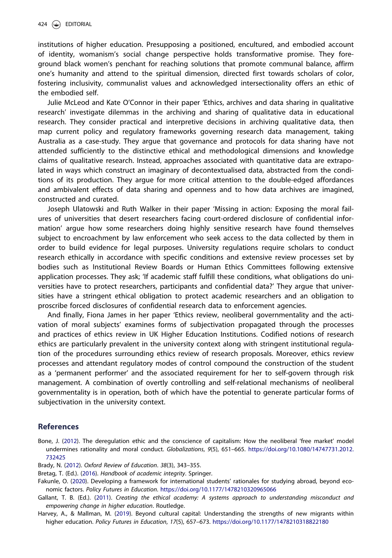<span id="page-6-0"></span>institutions of higher education. Presupposing a positioned, encultured, and embodied account of identity, womanism's social change perspective holds transformative promise. They foreground black women's penchant for reaching solutions that promote communal balance, affirm one's humanity and attend to the spiritual dimension, directed first towards scholars of color, fostering inclusivity, communalist values and acknowledged intersectionality offers an ethic of the embodied self.

Julie McLeod and Kate O'Connor in their paper 'Ethics, archives and data sharing in qualitative research' investigate dilemmas in the archiving and sharing of qualitative data in educational research. They consider practical and interpretive decisions in archiving qualitative data, then map current policy and regulatory frameworks governing research data management, taking Australia as a case-study. They argue that governance and protocols for data sharing have not attended sufficiently to the distinctive ethical and methodological dimensions and knowledge claims of qualitative research. Instead, approaches associated with quantitative data are extrapolated in ways which construct an imaginary of decontextualised data, abstracted from the conditions of its production. They argue for more critical attention to the double-edged affordances and ambivalent effects of data sharing and openness and to how data archives are imagined, constructed and curated.

Joseph Ulatowski and Ruth Walker in their paper 'Missing in action: Exposing the moral failures of universities that desert researchers facing court-ordered disclosure of confidential information' argue how some researchers doing highly sensitive research have found themselves subject to encroachment by law enforcement who seek access to the data collected by them in order to build evidence for legal purposes. University regulations require scholars to conduct research ethically in accordance with specific conditions and extensive review processes set by bodies such as Institutional Review Boards or Human Ethics Committees following extensive application processes. They ask; 'If academic staff fulfill these conditions, what obligations do universities have to protect researchers, participants and confidential data?' They argue that universities have a stringent ethical obligation to protect academic researchers and an obligation to proscribe forced disclosures of confidential research data to enforcement agencies.

And finally, Fiona James in her paper 'Ethics review, neoliberal governmentality and the activation of moral subjects' examines forms of subjectivation propagated through the processes and practices of ethics review in UK Higher Education Institutions. Codified notions of research ethics are particularly prevalent in the university context along with stringent institutional regulation of the procedures surrounding ethics review of research proposals. Moreover, ethics review processes and attendant regulatory modes of control compound the construction of the student as a 'permanent performer' and the associated requirement for her to self-govern through risk management. A combination of overtly controlling and self-relational mechanisms of neoliberal governmentality is in operation, both of which have the potential to generate particular forms of subjectivation in the university context.

#### References

Bone, J. [\(2012\)](#page-2-0). The deregulation ethic and the conscience of capitalism: How the neoliberal 'free market' model undermines rationality and moral conduct. Globalizations, 9(5), 651–665. [https://doi.org/10.1080/14747731.2012.](https://doi.org/10.1080/14747731.2012.732425) [732425](https://doi.org/10.1080/14747731.2012.732425)

Brady, N. [\(2012](#page-2-0)). Oxford Review of Education. 38(3), 343–355.

Bretag, T. (Ed.). ([2016](#page-1-0)). Handbook of academic integrity. Springer.

Fakunle, O. [\(2020](#page-2-0)). Developing a framework for international students' rationales for studying abroad, beyond economic factors. Policy Futures in Education. <https://doi.org/10.1177/1478210320965066>

Gallant, T. B. (Ed.). [\(2011](#page-1-0)). Creating the ethical academy: A systems approach to understanding misconduct and empowering change in higher education. Routledge.

Harvey, A., & Mallman, M. [\(2019\)](#page-2-0). Beyond cultural capital: Understanding the strengths of new migrants within higher education. Policy Futures in Education, 17(5), 657–673. <https://doi.org/10.1177/1478210318822180>